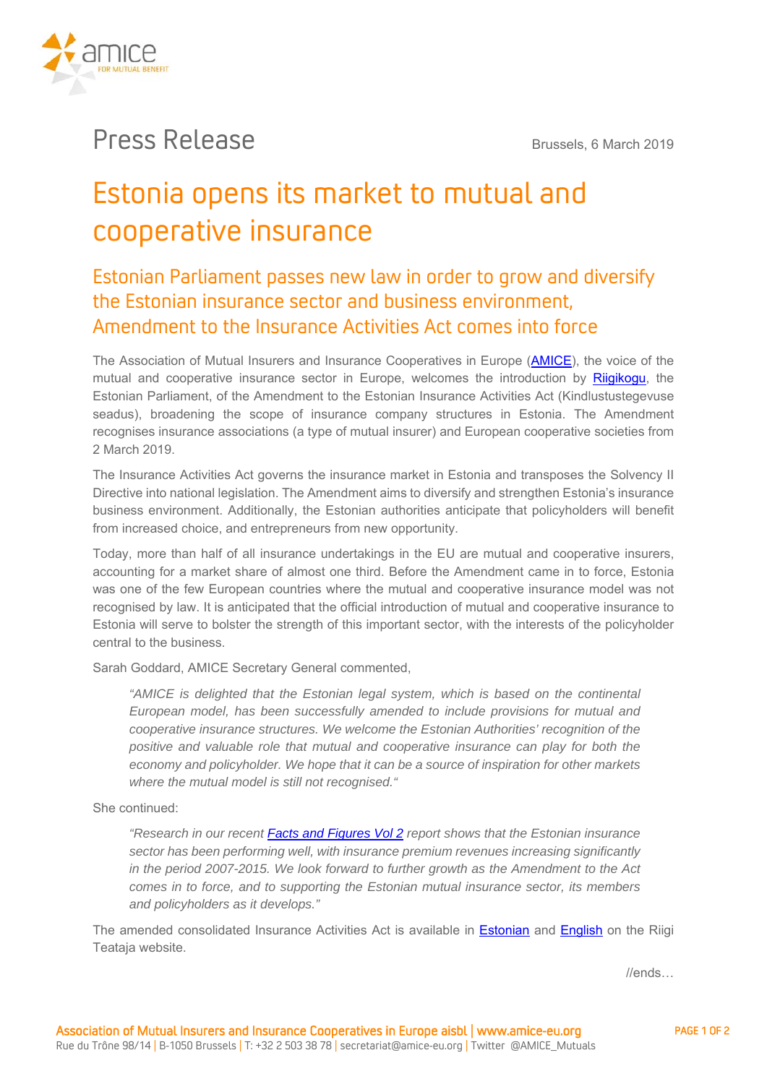

## Press Release Brussels, 6 March 2019

# Estonia opens its market to mutual and cooperative insurance

### Estonian Parliament passes new law in order to grow and diversify the Estonian insurance sector and business environment, Amendment to the Insurance Activities Act comes into force

The Association of Mutual Insurers and Insurance Cooperatives in Europe (AMICE), the voice of the mutual and cooperative insurance sector in Europe, welcomes the introduction by Riigikogu, the Estonian Parliament, of the Amendment to the Estonian Insurance Activities Act (Kindlustustegevuse seadus), broadening the scope of insurance company structures in Estonia. The Amendment recognises insurance associations (a type of mutual insurer) and European cooperative societies from 2 March 2019.

The Insurance Activities Act governs the insurance market in Estonia and transposes the Solvency II Directive into national legislation. The Amendment aims to diversify and strengthen Estonia's insurance business environment. Additionally, the Estonian authorities anticipate that policyholders will benefit from increased choice, and entrepreneurs from new opportunity.

Today, more than half of all insurance undertakings in the EU are mutual and cooperative insurers, accounting for a market share of almost one third. Before the Amendment came in to force, Estonia was one of the few European countries where the mutual and cooperative insurance model was not recognised by law. It is anticipated that the official introduction of mutual and cooperative insurance to Estonia will serve to bolster the strength of this important sector, with the interests of the policyholder central to the business.

Sarah Goddard, AMICE Secretary General commented,

*"AMICE is delighted that the Estonian legal system, which is based on the continental European model, has been successfully amended to include provisions for mutual and cooperative insurance structures. We welcome the Estonian Authorities' recognition of the positive and valuable role that mutual and cooperative insurance can play for both the economy and policyholder. We hope that it can be a source of inspiration for other markets where the mutual model is still not recognised."* 

She continued:

*"Research in our recent Facts and Figures Vol 2 report shows that the Estonian insurance sector has been performing well, with insurance premium revenues increasing significantly in the period 2007-2015. We look forward to further growth as the Amendment to the Act comes in to force, and to supporting the Estonian mutual insurance sector, its members and policyholders as it develops."* 

The amended consolidated Insurance Activities Act is available in Estonian and English on the Riigi Teataja website.

//ends…